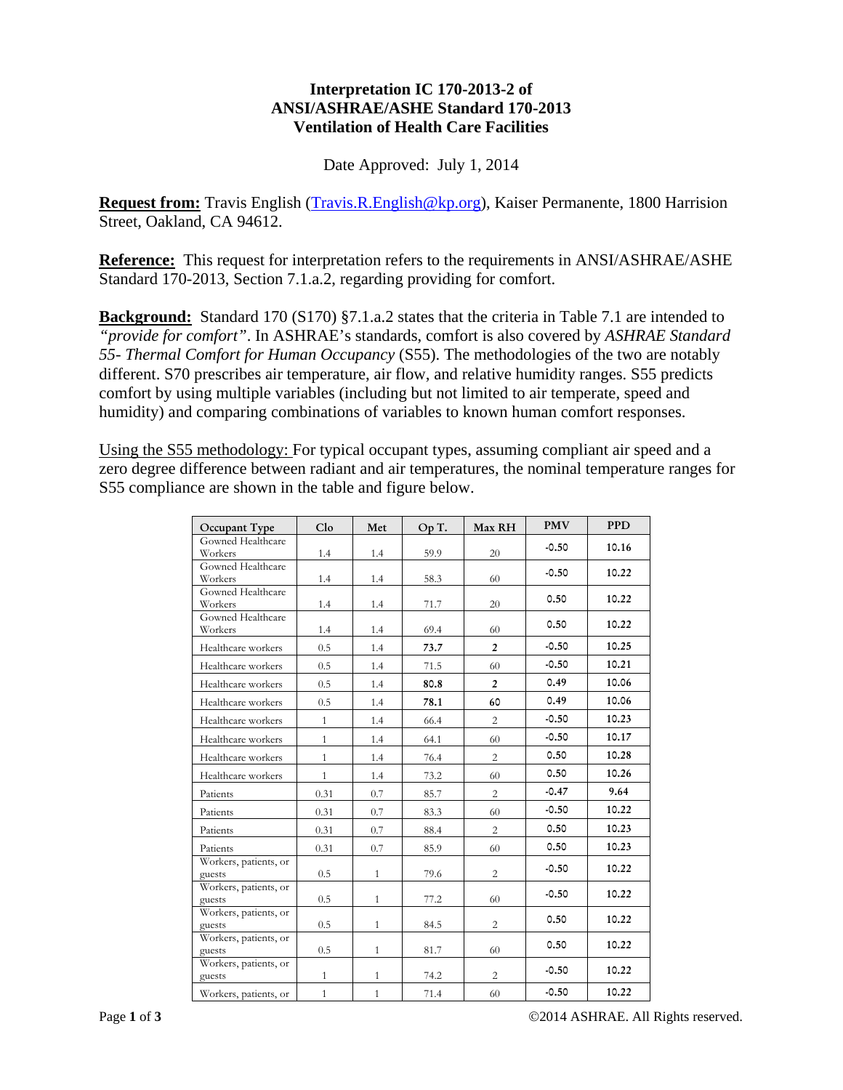## **Interpretation IC 170-2013-2 of ANSI/ASHRAE/ASHE Standard 170-2013 Ventilation of Health Care Facilities**

Date Approved: July 1, 2014

**Request from:** Travis English (Travis.R.English@kp.org), Kaiser Permanente, 1800 Harrision Street, Oakland, CA 94612.

**Reference:** This request for interpretation refers to the requirements in ANSI/ASHRAE/ASHE Standard 170-2013, Section 7.1.a.2, regarding providing for comfort.

**Background:** Standard 170 (S170) §7.1.a.2 states that the criteria in Table 7.1 are intended to *"provide for comfort"*. In ASHRAE's standards, comfort is also covered by *ASHRAE Standard 55- Thermal Comfort for Human Occupancy* (S55). The methodologies of the two are notably different. S70 prescribes air temperature, air flow, and relative humidity ranges. S55 predicts comfort by using multiple variables (including but not limited to air temperate, speed and humidity) and comparing combinations of variables to known human comfort responses.

Using the S55 methodology: For typical occupant types, assuming compliant air speed and a zero degree difference between radiant and air temperatures, the nominal temperature ranges for S55 compliance are shown in the table and figure below.

| Occupant Type                   | C1 <sub>o</sub> | Met          | Op T. | Max RH         | <b>PMV</b> | <b>PPD</b> |
|---------------------------------|-----------------|--------------|-------|----------------|------------|------------|
| Gowned Healthcare<br>Workers    | 1.4             | 1.4          | 59.9  | 20             | $-0.50$    | 10.16      |
| Gowned Healthcare               |                 |              |       |                |            |            |
| Workers                         | 1.4             | 1.4          | 58.3  | 60             | $-0.50$    | 10.22      |
| Gowned Healthcare               |                 |              |       |                | 0.50       | 10.22      |
| Workers                         | 1.4             | 1.4          | 71.7  | 20             |            |            |
| Gowned Healthcare               |                 |              |       |                | 0.50       | 10.22      |
| Workers                         | 1.4             | 1.4          | 69.4  | 60             |            |            |
| Healthcare workers              | 0.5             | 1.4          | 73.7  | $\overline{2}$ | $-0.50$    | 10.25      |
| Healthcare workers              | 0.5             | 1.4          | 71.5  | 60             | $-0.50$    | 10.21      |
| Healthcare workers              | 0.5             | 1.4          | 80.8  | $\overline{2}$ | 0.49       | 10.06      |
| Healthcare workers              | 0.5             | 1.4          | 78.1  | 60             | 0.49       | 10.06      |
| Healthcare workers              | $\mathbf{1}$    | 1.4          | 66.4  | $\overline{2}$ | $-0.50$    | 10.23      |
| Healthcare workers              | $\mathbf{1}$    | 1.4          | 64.1  | 60             | $-0.50$    | 10.17      |
| Healthcare workers              | $\mathbf{1}$    | 1.4          | 76.4  | $\overline{c}$ | 0.50       | 10.28      |
| Healthcare workers              | $\mathbf{1}$    | 1.4          | 73.2  | 60             | 0.50       | 10.26      |
| Patients                        | 0.31            | 0.7          | 85.7  | $\overline{c}$ | $-0.47$    | 9.64       |
| Patients                        | 0.31            | 0.7          | 83.3  | 60             | $-0.50$    | 10.22      |
| Patients                        | 0.31            | 0.7          | 88.4  | $\overline{2}$ | 0.50       | 10.23      |
| Patients                        | 0.31            | 0.7          | 85.9  | 60             | 0.50       | 10.23      |
| Workers, patients, or<br>guests | 0.5             | $\mathbf{1}$ | 79.6  | $\overline{c}$ | $-0.50$    | 10.22      |
| Workers, patients, or<br>guests | 0.5             | $\mathbf{1}$ | 77.2  | 60             | $-0.50$    | 10.22      |
| Workers, patients, or           |                 |              |       |                |            |            |
| guests                          | 0.5             | $\mathbf{1}$ | 84.5  | $\overline{c}$ | 0.50       | 10.22      |
| Workers, patients, or<br>guests | 0.5             | $\mathbf{1}$ | 81.7  | 60             | 0.50       | 10.22      |
| Workers, patients, or<br>guests | $\mathbf{1}$    | $\mathbf{1}$ | 74.2  | $\overline{c}$ | $-0.50$    | 10.22      |
| Workers, patients, or           | $\mathbf{1}$    | $\mathbf{1}$ | 71.4  | 60             | $-0.50$    | 10.22      |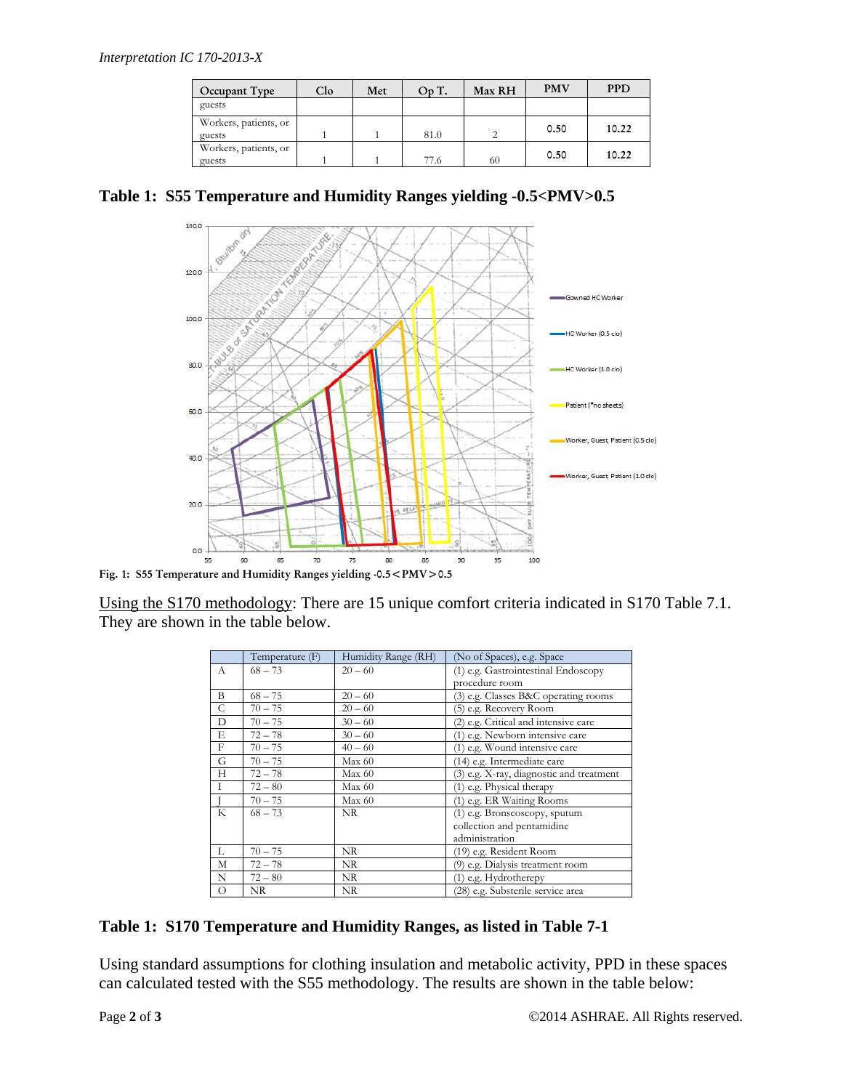| Occupant Type                   | Clo | Met | Op T. | Max RH | <b>PMV</b> | <b>PPD</b> |
|---------------------------------|-----|-----|-------|--------|------------|------------|
| guests                          |     |     |       |        |            |            |
| Workers, patients, or<br>guests |     |     | 81.0  |        | 0.50       | 10.22      |
| Workers, patients, or<br>guests |     |     | 77.6  | 60     | 0.50       | 10.22      |

**Table 1: S55 Temperature and Humidity Ranges yielding -0.5<PMV>0.5** 



Using the S170 methodology: There are 15 unique comfort criteria indicated in S170 Table 7.1. They are shown in the table below.

|            | Temperature (F) | Humidity Range (RH) | (No of Spaces), e.g. Space               |
|------------|-----------------|---------------------|------------------------------------------|
| А          | $68 - 73$       | $20 - 60$           | (1) e.g. Gastrointestinal Endoscopy      |
|            |                 |                     | procedure room                           |
| B          | $68 - 75$       | $20 - 60$           | (3) e.g. Classes B&C operating rooms     |
| C          | $70 - 75$       | $20 - 60$           | (5) e.g. Recovery Room                   |
| D          | $70 - 75$       | $30 - 60$           | (2) e.g. Critical and intensive care     |
| E          | $72 - 78$       | $30 - 60$           | (1) e.g. Newborn intensive care          |
| $_{\rm F}$ | $70 - 75$       | $40 - 60$           | (1) e.g. Wound intensive care            |
| G          | $70 - 75$       | Max 60              | (14) e.g. Intermediate care              |
| Н          | $72 - 78$       | Max 60              | (3) e.g. X-ray, diagnostic and treatment |
| L          | $72 - 80$       | Max 60              | (1) e.g. Physical therapy                |
|            | $70 - 75$       | Max 60              | (1) e.g. ER Waiting Rooms                |
| K          | $68 - 73$       | NR.                 | (1) e.g. Bronscoscopy, sputum            |
|            |                 |                     | collection and pentamidine               |
|            |                 |                     | administration                           |
| L          | $70 - 75$       | NR.                 | (19) e.g. Resident Room                  |
| М          | $72 - 78$       | NR                  | (9) e.g. Dialysis treatment room         |
| N          | $72 - 80$       | NR                  | (1) e.g. Hydrotherepy                    |
| $\circ$    | NR.             | NR                  | (28) e.g. Substerile service area        |

## **Table 1: S170 Temperature and Humidity Ranges, as listed in Table 7-1**

Using standard assumptions for clothing insulation and metabolic activity, PPD in these spaces can calculated tested with the S55 methodology. The results are shown in the table below: